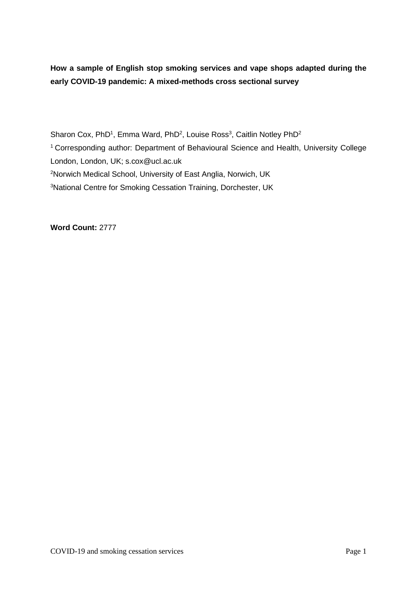**How a sample of English stop smoking services and vape shops adapted during the early COVID-19 pandemic: A mixed-methods cross sectional survey**

Sharon Cox, PhD<sup>1</sup>, Emma Ward, PhD<sup>2</sup>, Louise Ross<sup>3</sup>, Caitlin Notley PhD<sup>2</sup> <sup>1</sup> Corresponding author: Department of Behavioural Science and Health, University College London, London, UK; s.cox@ucl.ac.uk <sup>2</sup>Norwich Medical School, University of East Anglia, Norwich, UK <sup>3</sup>National Centre for Smoking Cessation Training, Dorchester, UK

**Word Count:** 2777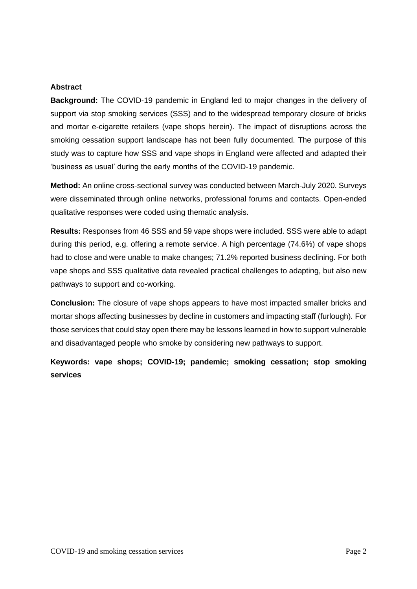#### **Abstract**

**Background:** The COVID-19 pandemic in England led to major changes in the delivery of support via stop smoking services (SSS) and to the widespread temporary closure of bricks and mortar e-cigarette retailers (vape shops herein). The impact of disruptions across the smoking cessation support landscape has not been fully documented. The purpose of this study was to capture how SSS and vape shops in England were affected and adapted their 'business as usual' during the early months of the COVID-19 pandemic.

**Method:** An online cross-sectional survey was conducted between March-July 2020. Surveys were disseminated through online networks, professional forums and contacts. Open-ended qualitative responses were coded using thematic analysis.

**Results:** Responses from 46 SSS and 59 vape shops were included. SSS were able to adapt during this period, e.g. offering a remote service. A high percentage (74.6%) of vape shops had to close and were unable to make changes; 71.2% reported business declining. For both vape shops and SSS qualitative data revealed practical challenges to adapting, but also new pathways to support and co-working.

**Conclusion:** The closure of vape shops appears to have most impacted smaller bricks and mortar shops affecting businesses by decline in customers and impacting staff (furlough). For those services that could stay open there may be lessons learned in how to support vulnerable and disadvantaged people who smoke by considering new pathways to support.

**Keywords: vape shops; COVID-19; pandemic; smoking cessation; stop smoking services**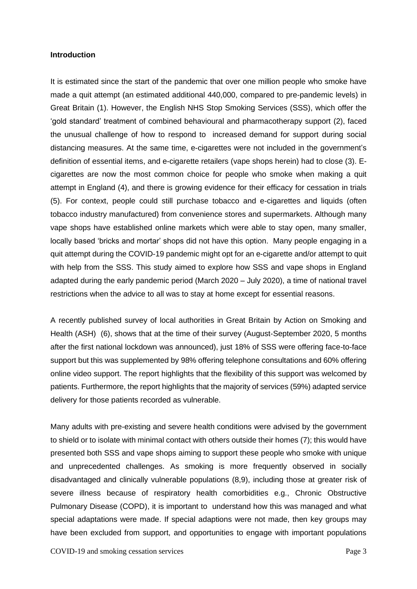#### **Introduction**

It is estimated since the start of the pandemic that over one million people who smoke have made a quit attempt (an estimated additional 440,000, compared to pre-pandemic levels) in Great Britain (1). However, the English NHS Stop Smoking Services (SSS), which offer the 'gold standard' treatment of combined behavioural and pharmacotherapy support (2), faced the unusual challenge of how to respond to increased demand for support during social distancing measures. At the same time, e-cigarettes were not included in the government's definition of essential items, and e-cigarette retailers (vape shops herein) had to close (3). Ecigarettes are now the most common choice for people who smoke when making a quit attempt in England (4), and there is growing evidence for their efficacy for cessation in trials (5). For context, people could still purchase tobacco and e-cigarettes and liquids (often tobacco industry manufactured) from convenience stores and supermarkets. Although many vape shops have established online markets which were able to stay open, many smaller, locally based 'bricks and mortar' shops did not have this option. Many people engaging in a quit attempt during the COVID-19 pandemic might opt for an e-cigarette and/or attempt to quit with help from the SSS. This study aimed to explore how SSS and vape shops in England adapted during the early pandemic period (March 2020 – July 2020), a time of national travel restrictions when the advice to all was to stay at home except for essential reasons.

A recently published survey of local authorities in Great Britain by Action on Smoking and Health (ASH) (6), shows that at the time of their survey (August-September 2020, 5 months after the first national lockdown was announced), just 18% of SSS were offering face-to-face support but this was supplemented by 98% offering telephone consultations and 60% offering online video support. The report highlights that the flexibility of this support was welcomed by patients. Furthermore, the report highlights that the majority of services (59%) adapted service delivery for those patients recorded as vulnerable.

Many adults with pre-existing and severe health conditions were advised by the government to shield or to isolate with minimal contact with others outside their homes (7); this would have presented both SSS and vape shops aiming to support these people who smoke with unique and unprecedented challenges. As smoking is more frequently observed in socially disadvantaged and clinically vulnerable populations (8,9), including those at greater risk of severe illness because of respiratory health comorbidities e.g., Chronic Obstructive Pulmonary Disease (COPD), it is important to understand how this was managed and what special adaptations were made. If special adaptions were not made, then key groups may have been excluded from support, and opportunities to engage with important populations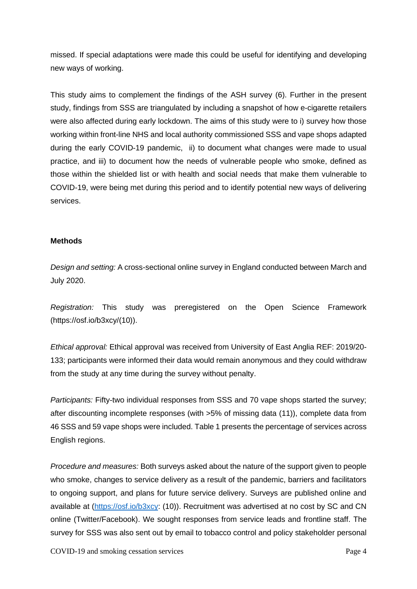missed. If special adaptations were made this could be useful for identifying and developing new ways of working.

This study aims to complement the findings of the ASH survey (6). Further in the present study, findings from SSS are triangulated by including a snapshot of how e-cigarette retailers were also affected during early lockdown. The aims of this study were to i) survey how those working within front-line NHS and local authority commissioned SSS and vape shops adapted during the early COVID-19 pandemic, ii) to document what changes were made to usual practice, and iii) to document how the needs of vulnerable people who smoke, defined as those within the shielded list or with health and social needs that make them vulnerable to COVID-19, were being met during this period and to identify potential new ways of delivering services.

## **Methods**

*Design and setting:* A cross-sectional online survey in England conducted between March and July 2020.

*Registration:* This study was preregistered on the Open Science Framework (https://osf.io/b3xcy/(10)).

*Ethical approval:* Ethical approval was received from University of East Anglia REF: 2019/20- 133; participants were informed their data would remain anonymous and they could withdraw from the study at any time during the survey without penalty.

*Participants:* Fifty-two individual responses from SSS and 70 vape shops started the survey; after discounting incomplete responses (with >5% of missing data (11)), complete data from 46 SSS and 59 vape shops were included. Table 1 presents the percentage of services across English regions.

*Procedure and measures:* Both surveys asked about the nature of the support given to people who smoke, changes to service delivery as a result of the pandemic, barriers and facilitators to ongoing support, and plans for future service delivery. Surveys are published online and available at [\(https://osf.io/b3xcy:](https://osf.io/b3xcy) (10)). Recruitment was advertised at no cost by SC and CN online (Twitter/Facebook). We sought responses from service leads and frontline staff. The survey for SSS was also sent out by email to tobacco control and policy stakeholder personal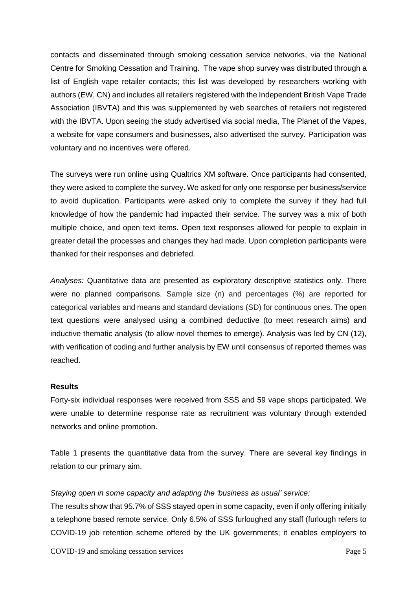contacts and disseminated through smoking cessation service networks, via the National Centre for Smoking Cessation and Training. The vape shop survey was distributed through a list of English vape retailer contacts; this list was developed by researchers working with authors (EW, CN) and includes all retailers registered with the Independent British Vape Trade Association (IBVTA) and this was supplemented by web searches of retailers not registered with the IBVTA. Upon seeing the study advertised via social media, The Planet of the Vapes, a website for vape consumers and businesses, also advertised the survey. Participation was voluntary and no incentives were offered.

The surveys were run online using Qualtrics XM software. Once participants had consented, they were asked to complete the survey. We asked for only one response per business/service to avoid duplication. Participants were asked only to complete the survey if they had full knowledge of how the pandemic had impacted their service. The survey was a mix of both multiple choice, and open text items. Open text responses allowed for people to explain in greater detail the processes and changes they had made. Upon completion participants were thanked for their responses and debriefed.

*Analyses:* Quantitative data are presented as exploratory descriptive statistics only. There were no planned comparisons. Sample size (n) and percentages (%) are reported for categorical variables and means and standard deviations (SD) for continuous ones. The open text questions were analysed using a combined deductive (to meet research aims) and inductive thematic analysis (to allow novel themes to emerge). Analysis was led by CN (12), with verification of coding and further analysis by EW until consensus of reported themes was reached.

## **Results**

Forty-six individual responses were received from SSS and 59 vape shops participated. We were unable to determine response rate as recruitment was voluntary through extended networks and online promotion.

Table 1 presents the quantitative data from the survey. There are several key findings in relation to our primary aim.

#### *Staying open in some capacity and adapting the 'business as usual' service:*

The results show that 95.7% of SSS stayed open in some capacity, even if only offering initially a telephone based remote service. Only 6.5% of SSS furloughed any staff (furlough refers to COVID-19 job retention scheme offered by the UK governments; it enables employers to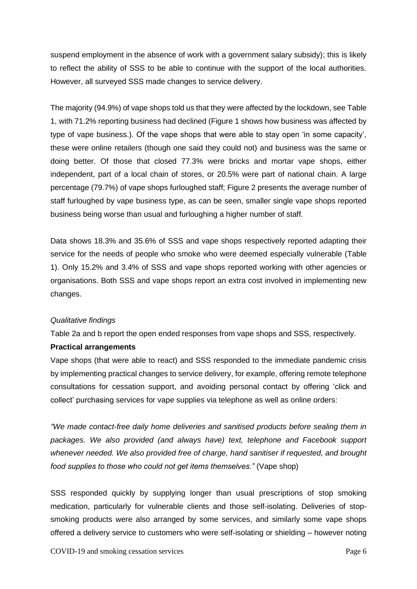suspend employment in the absence of work with a government salary subsidy); this is likely to reflect the ability of SSS to be able to continue with the support of the local authorities. However, all surveyed SSS made changes to service delivery.

The majority (94.9%) of vape shops told us that they were affected by the lockdown, see Table 1, with 71.2% reporting business had declined (Figure 1 shows how business was affected by type of vape business.). Of the vape shops that were able to stay open 'in some capacity', these were online retailers (though one said they could not) and business was the same or doing better. Of those that closed 77.3% were bricks and mortar vape shops, either independent, part of a local chain of stores, or 20.5% were part of national chain. A large percentage (79.7%) of vape shops furloughed staff; Figure 2 presents the average number of staff furloughed by vape business type, as can be seen, smaller single vape shops reported business being worse than usual and furloughing a higher number of staff.

Data shows 18.3% and 35.6% of SSS and vape shops respectively reported adapting their service for the needs of people who smoke who were deemed especially vulnerable (Table 1). Only 15.2% and 3.4% of SSS and vape shops reported working with other agencies or organisations. Both SSS and vape shops report an extra cost involved in implementing new changes.

## *Qualitative findings*

Table 2a and b report the open ended responses from vape shops and SSS, respectively.

#### **Practical arrangements**

Vape shops (that were able to react) and SSS responded to the immediate pandemic crisis by implementing practical changes to service delivery, for example, offering remote telephone consultations for cessation support, and avoiding personal contact by offering 'click and collect' purchasing services for vape supplies via telephone as well as online orders:

*"We made contact-free daily home deliveries and sanitised products before sealing them in packages. We also provided (and always have) text, telephone and Facebook support whenever needed. We also provided free of charge, hand sanitiser if requested, and brought food supplies to those who could not get items themselves."* (Vape shop)

SSS responded quickly by supplying longer than usual prescriptions of stop smoking medication, particularly for vulnerable clients and those self-isolating. Deliveries of stopsmoking products were also arranged by some services, and similarly some vape shops offered a delivery service to customers who were self-isolating or shielding – however noting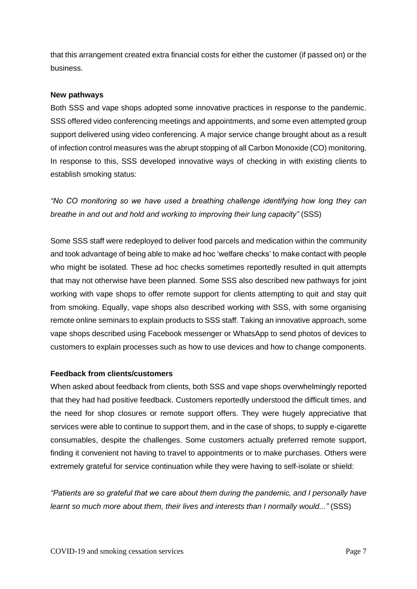that this arrangement created extra financial costs for either the customer (if passed on) or the business.

#### **New pathways**

Both SSS and vape shops adopted some innovative practices in response to the pandemic. SSS offered video conferencing meetings and appointments, and some even attempted group support delivered using video conferencing. A major service change brought about as a result of infection control measures was the abrupt stopping of all Carbon Monoxide (CO) monitoring. In response to this, SSS developed innovative ways of checking in with existing clients to establish smoking status:

*"No CO monitoring so we have used a breathing challenge identifying how long they can breathe in and out and hold and working to improving their lung capacity"* (SSS)

Some SSS staff were redeployed to deliver food parcels and medication within the community and took advantage of being able to make ad hoc 'welfare checks' to make contact with people who might be isolated. These ad hoc checks sometimes reportedly resulted in quit attempts that may not otherwise have been planned. Some SSS also described new pathways for joint working with vape shops to offer remote support for clients attempting to quit and stay quit from smoking. Equally, vape shops also described working with SSS, with some organising remote online seminars to explain products to SSS staff. Taking an innovative approach, some vape shops described using Facebook messenger or WhatsApp to send photos of devices to customers to explain processes such as how to use devices and how to change components.

## **Feedback from clients/customers**

When asked about feedback from clients, both SSS and vape shops overwhelmingly reported that they had had positive feedback. Customers reportedly understood the difficult times, and the need for shop closures or remote support offers. They were hugely appreciative that services were able to continue to support them, and in the case of shops, to supply e-cigarette consumables, despite the challenges. Some customers actually preferred remote support, finding it convenient not having to travel to appointments or to make purchases. Others were extremely grateful for service continuation while they were having to self-isolate or shield:

*"Patients are so grateful that we care about them during the pandemic, and I personally have learnt so much more about them, their lives and interests than I normally would..."* (SSS)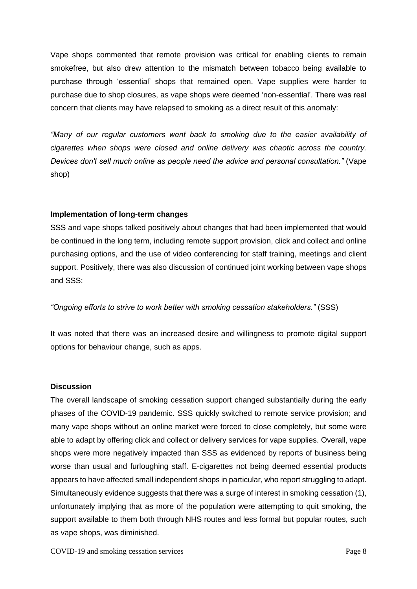Vape shops commented that remote provision was critical for enabling clients to remain smokefree, but also drew attention to the mismatch between tobacco being available to purchase through 'essential' shops that remained open. Vape supplies were harder to purchase due to shop closures, as vape shops were deemed 'non-essential'. There was real concern that clients may have relapsed to smoking as a direct result of this anomaly:

*"Many of our regular customers went back to smoking due to the easier availability of cigarettes when shops were closed and online delivery was chaotic across the country. Devices don't sell much online as people need the advice and personal consultation."* (Vape shop)

## **Implementation of long-term changes**

SSS and vape shops talked positively about changes that had been implemented that would be continued in the long term, including remote support provision, click and collect and online purchasing options, and the use of video conferencing for staff training, meetings and client support. Positively, there was also discussion of continued joint working between vape shops and SSS:

## *"Ongoing efforts to strive to work better with smoking cessation stakeholders."* (SSS)

It was noted that there was an increased desire and willingness to promote digital support options for behaviour change, such as apps.

#### **Discussion**

The overall landscape of smoking cessation support changed substantially during the early phases of the COVID-19 pandemic. SSS quickly switched to remote service provision; and many vape shops without an online market were forced to close completely, but some were able to adapt by offering click and collect or delivery services for vape supplies. Overall, vape shops were more negatively impacted than SSS as evidenced by reports of business being worse than usual and furloughing staff. E-cigarettes not being deemed essential products appears to have affected small independent shops in particular, who report struggling to adapt. Simultaneously evidence suggests that there was a surge of interest in smoking cessation (1), unfortunately implying that as more of the population were attempting to quit smoking, the support available to them both through NHS routes and less formal but popular routes, such as vape shops, was diminished.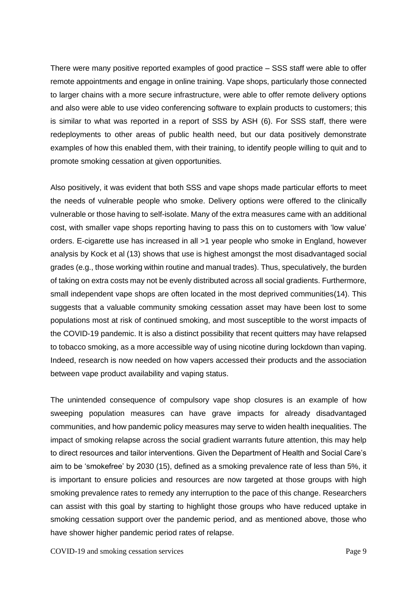There were many positive reported examples of good practice – SSS staff were able to offer remote appointments and engage in online training. Vape shops, particularly those connected to larger chains with a more secure infrastructure, were able to offer remote delivery options and also were able to use video conferencing software to explain products to customers; this is similar to what was reported in a report of SSS by ASH (6). For SSS staff, there were redeployments to other areas of public health need, but our data positively demonstrate examples of how this enabled them, with their training, to identify people willing to quit and to promote smoking cessation at given opportunities.

Also positively, it was evident that both SSS and vape shops made particular efforts to meet the needs of vulnerable people who smoke. Delivery options were offered to the clinically vulnerable or those having to self-isolate. Many of the extra measures came with an additional cost, with smaller vape shops reporting having to pass this on to customers with 'low value' orders. E-cigarette use has increased in all >1 year people who smoke in England, however analysis by Kock et al (13) shows that use is highest amongst the most disadvantaged social grades (e.g., those working within routine and manual trades). Thus, speculatively, the burden of taking on extra costs may not be evenly distributed across all social gradients. Furthermore, small independent vape shops are often located in the most deprived communities(14). This suggests that a valuable community smoking cessation asset may have been lost to some populations most at risk of continued smoking, and most susceptible to the worst impacts of the COVID-19 pandemic. It is also a distinct possibility that recent quitters may have relapsed to tobacco smoking, as a more accessible way of using nicotine during lockdown than vaping. Indeed, research is now needed on how vapers accessed their products and the association between vape product availability and vaping status.

The unintended consequence of compulsory vape shop closures is an example of how sweeping population measures can have grave impacts for already disadvantaged communities, and how pandemic policy measures may serve to widen health inequalities. The impact of smoking relapse across the social gradient warrants future attention, this may help to direct resources and tailor interventions. Given the Department of Health and Social Care's aim to be 'smokefree' by 2030 (15), defined as a smoking prevalence rate of less than 5%, it is important to ensure policies and resources are now targeted at those groups with high smoking prevalence rates to remedy any interruption to the pace of this change. Researchers can assist with this goal by starting to highlight those groups who have reduced uptake in smoking cessation support over the pandemic period, and as mentioned above, those who have shower higher pandemic period rates of relapse.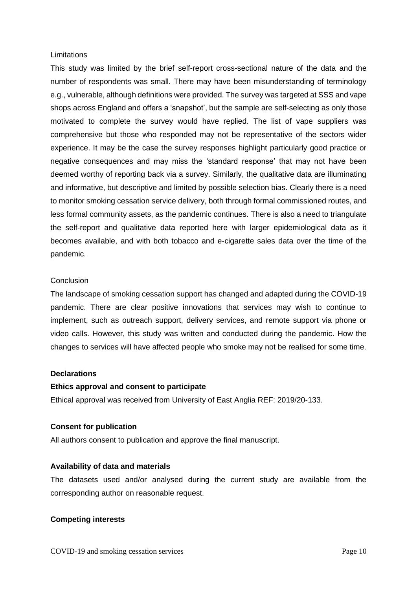#### **Limitations**

This study was limited by the brief self-report cross-sectional nature of the data and the number of respondents was small. There may have been misunderstanding of terminology e.g., vulnerable, although definitions were provided. The survey was targeted at SSS and vape shops across England and offers a 'snapshot', but the sample are self-selecting as only those motivated to complete the survey would have replied. The list of vape suppliers was comprehensive but those who responded may not be representative of the sectors wider experience. It may be the case the survey responses highlight particularly good practice or negative consequences and may miss the 'standard response' that may not have been deemed worthy of reporting back via a survey. Similarly, the qualitative data are illuminating and informative, but descriptive and limited by possible selection bias. Clearly there is a need to monitor smoking cessation service delivery, both through formal commissioned routes, and less formal community assets, as the pandemic continues. There is also a need to triangulate the self-report and qualitative data reported here with larger epidemiological data as it becomes available, and with both tobacco and e-cigarette sales data over the time of the pandemic.

#### **Conclusion**

The landscape of smoking cessation support has changed and adapted during the COVID-19 pandemic. There are clear positive innovations that services may wish to continue to implement, such as outreach support, delivery services, and remote support via phone or video calls. However, this study was written and conducted during the pandemic. How the changes to services will have affected people who smoke may not be realised for some time.

#### **Declarations**

#### **Ethics approval and consent to participate**

Ethical approval was received from University of East Anglia REF: 2019/20-133.

#### **Consent for publication**

All authors consent to publication and approve the final manuscript.

#### **Availability of data and materials**

The datasets used and/or analysed during the current study are available from the corresponding author on reasonable request.

#### **Competing interests**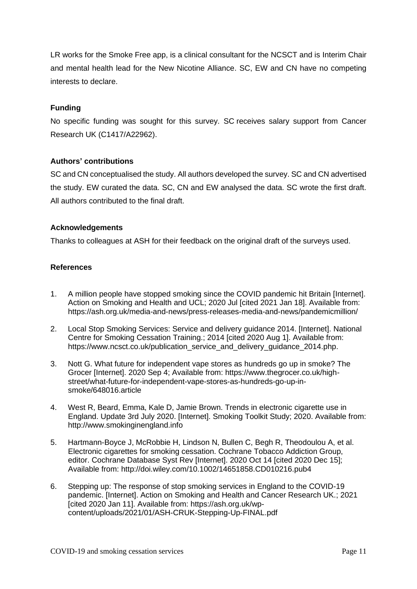LR works for the Smoke Free app, is a clinical consultant for the NCSCT and is Interim Chair and mental health lead for the New Nicotine Alliance. SC, EW and CN have no competing interests to declare.

## **Funding**

No specific funding was sought for this survey. SC receives salary support from Cancer Research UK (C1417/A22962).

## **Authors' contributions**

SC and CN conceptualised the study. All authors developed the survey. SC and CN advertised the study. EW curated the data. SC, CN and EW analysed the data. SC wrote the first draft. All authors contributed to the final draft.

## **Acknowledgements**

Thanks to colleagues at ASH for their feedback on the original draft of the surveys used.

## **References**

- 1. A million people have stopped smoking since the COVID pandemic hit Britain [Internet]. Action on Smoking and Health and UCL; 2020 Jul [cited 2021 Jan 18]. Available from: https://ash.org.uk/media-and-news/press-releases-media-and-news/pandemicmillion/
- 2. Local Stop Smoking Services: Service and delivery guidance 2014. [Internet]. National Centre for Smoking Cessation Training.; 2014 [cited 2020 Aug 1]. Available from: https://www.ncsct.co.uk/publication\_service\_and\_delivery\_guidance\_2014.php.
- 3. Nott G. What future for independent vape stores as hundreds go up in smoke? The Grocer [Internet]. 2020 Sep 4; Available from: https://www.thegrocer.co.uk/highstreet/what-future-for-independent-vape-stores-as-hundreds-go-up-insmoke/648016.article
- 4. West R, Beard, Emma, Kale D, Jamie Brown. Trends in electronic cigarette use in England. Update 3rd July 2020. [Internet]. Smoking Toolkit Study; 2020. Available from: http://www.smokinginengland.info
- 5. Hartmann-Boyce J, McRobbie H, Lindson N, Bullen C, Begh R, Theodoulou A, et al. Electronic cigarettes for smoking cessation. Cochrane Tobacco Addiction Group, editor. Cochrane Database Syst Rev [Internet]. 2020 Oct 14 [cited 2020 Dec 15]; Available from: http://doi.wiley.com/10.1002/14651858.CD010216.pub4
- 6. Stepping up: The response of stop smoking services in England to the COVID-19 pandemic. [Internet]. Action on Smoking and Health and Cancer Research UK.; 2021 [cited 2020 Jan 11]. Available from: https://ash.org.uk/wpcontent/uploads/2021/01/ASH-CRUK-Stepping-Up-FINAL.pdf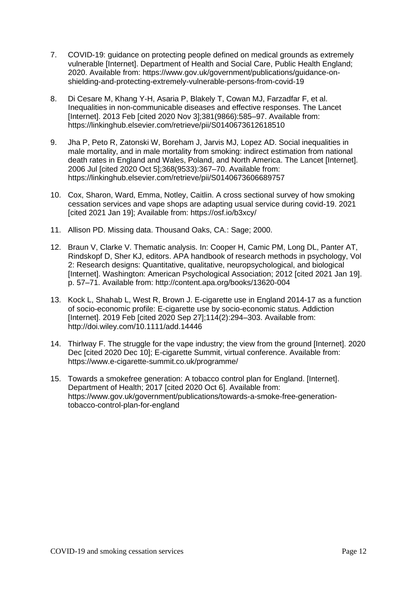- 7. COVID-19: guidance on protecting people defined on medical grounds as extremely vulnerable [Internet]. Department of Health and Social Care, Public Health England; 2020. Available from: https://www.gov.uk/government/publications/guidance-onshielding-and-protecting-extremely-vulnerable-persons-from-covid-19
- 8. Di Cesare M, Khang Y-H, Asaria P, Blakely T, Cowan MJ, Farzadfar F, et al. Inequalities in non-communicable diseases and effective responses. The Lancet [Internet]. 2013 Feb [cited 2020 Nov 3];381(9866):585–97. Available from: https://linkinghub.elsevier.com/retrieve/pii/S0140673612618510
- 9. Jha P, Peto R, Zatonski W, Boreham J, Jarvis MJ, Lopez AD. Social inequalities in male mortality, and in male mortality from smoking: indirect estimation from national death rates in England and Wales, Poland, and North America. The Lancet [Internet]. 2006 Jul [cited 2020 Oct 5];368(9533):367–70. Available from: https://linkinghub.elsevier.com/retrieve/pii/S0140673606689757
- 10. Cox, Sharon, Ward, Emma, Notley, Caitlin. A cross sectional survey of how smoking cessation services and vape shops are adapting usual service during covid-19. 2021 [cited 2021 Jan 19]; Available from: https://osf.io/b3xcy/
- 11. Allison PD. Missing data. Thousand Oaks, CA.: Sage; 2000.
- 12. Braun V, Clarke V. Thematic analysis. In: Cooper H, Camic PM, Long DL, Panter AT, Rindskopf D, Sher KJ, editors. APA handbook of research methods in psychology, Vol 2: Research designs: Quantitative, qualitative, neuropsychological, and biological [Internet]. Washington: American Psychological Association; 2012 [cited 2021 Jan 19]. p. 57–71. Available from: http://content.apa.org/books/13620-004
- 13. Kock L, Shahab L, West R, Brown J. E-cigarette use in England 2014-17 as a function of socio-economic profile: E-cigarette use by socio-economic status. Addiction [Internet]. 2019 Feb [cited 2020 Sep 27];114(2):294–303. Available from: http://doi.wiley.com/10.1111/add.14446
- 14. Thirlway F. The struggle for the vape industry; the view from the ground [Internet]. 2020 Dec [cited 2020 Dec 10]; E-cigarette Summit, virtual conference. Available from: https://www.e-cigarette-summit.co.uk/programme/
- 15. Towards a smokefree generation: A tobacco control plan for England. [Internet]. Department of Health; 2017 [cited 2020 Oct 6]. Available from: https://www.gov.uk/government/publications/towards-a-smoke-free-generationtobacco-control-plan-for-england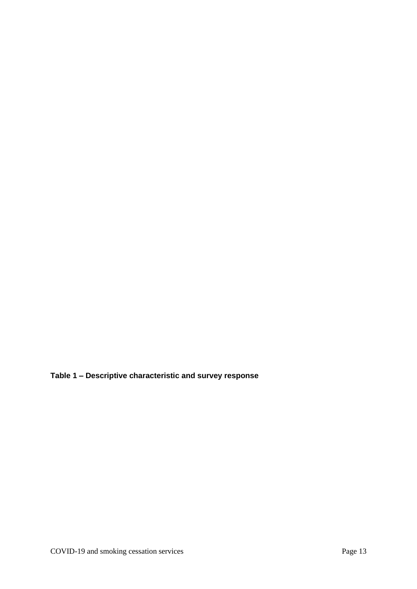**Table 1 – Descriptive characteristic and survey response**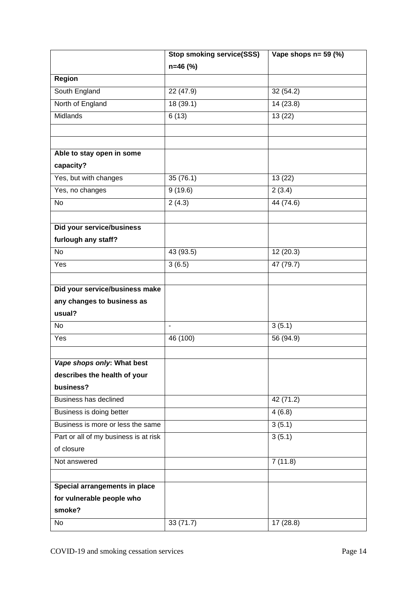|                                       | <b>Stop smoking service(SSS)</b> | Vape shops $n = 59$ (%) |
|---------------------------------------|----------------------------------|-------------------------|
|                                       | $n=46$ (%)                       |                         |
| Region                                |                                  |                         |
| South England                         | 22 (47.9)                        | 32(54.2)                |
| North of England                      | 18 (39.1)                        | 14 (23.8)               |
| Midlands                              | 6(13)                            | $\overline{13(22)}$     |
|                                       |                                  |                         |
|                                       |                                  |                         |
| Able to stay open in some             |                                  |                         |
| capacity?                             |                                  |                         |
| Yes, but with changes                 | 35(76.1)                         | 13(22)                  |
| Yes, no changes                       | 9(19.6)                          | 2(3.4)                  |
| $\overline{N}$                        | 2(4.3)                           | 44 (74.6)               |
|                                       |                                  |                         |
| Did your service/business             |                                  |                         |
| furlough any staff?                   |                                  |                         |
| $\overline{N}$                        | 43 (93.5)                        | 12(20.3)                |
| Yes                                   | 3(6.5)                           | 47 (79.7)               |
|                                       |                                  |                         |
| Did your service/business make        |                                  |                         |
| any changes to business as            |                                  |                         |
| usual?                                |                                  |                         |
| <b>No</b>                             | $\overline{\phantom{a}}$         | 3(5.1)                  |
| Yes                                   | 46 (100)                         | 56 (94.9)               |
|                                       |                                  |                         |
| Vape shops only: What best            |                                  |                         |
| describes the health of your          |                                  |                         |
| business?                             |                                  |                         |
| Business has declined                 |                                  | 42 (71.2)               |
| Business is doing better              |                                  | 4(6.8)                  |
| Business is more or less the same     |                                  | 3(5.1)                  |
| Part or all of my business is at risk |                                  | 3(5.1)                  |
| of closure                            |                                  |                         |
| Not answered                          |                                  | 7(11.8)                 |
|                                       |                                  |                         |
| Special arrangements in place         |                                  |                         |
| for vulnerable people who             |                                  |                         |
| smoke?                                |                                  |                         |
| <b>No</b>                             | 33 (71.7)                        | 17(28.8)                |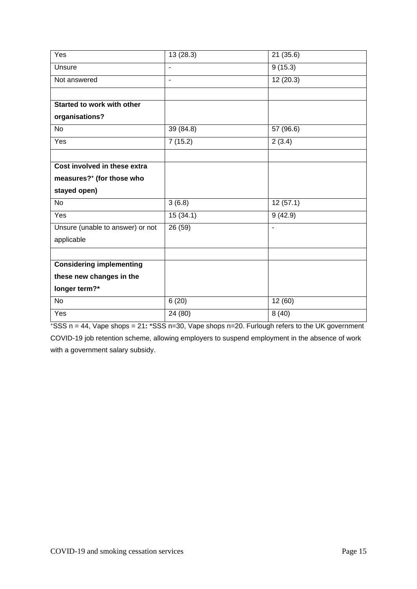| $\overline{Y}$ es                | 13(28.3)       | 21 (35.6)             |
|----------------------------------|----------------|-----------------------|
| Unsure                           | ÷,             | 9(15.3)               |
| Not answered                     | $\blacksquare$ | 12(20.3)              |
|                                  |                |                       |
| Started to work with other       |                |                       |
| organisations?                   |                |                       |
| <b>No</b>                        | 39 (84.8)      | 57 (96.6)             |
| Yes                              | 7(15.2)        | 2(3.4)                |
|                                  |                |                       |
| Cost involved in these extra     |                |                       |
| measures?+ (for those who        |                |                       |
| stayed open)                     |                |                       |
| <b>No</b>                        | 3(6.8)         | $\overline{1}2(57.1)$ |
| Yes                              | 15(34.1)       | 9(42.9)               |
| Unsure (unable to answer) or not | 26 (59)        | $\sim$                |
| applicable                       |                |                       |
|                                  |                |                       |
| <b>Considering implementing</b>  |                |                       |
| these new changes in the         |                |                       |
| longer term?*                    |                |                       |
| <b>No</b>                        | 6(20)          | 12(60)                |
| Yes                              | 24 (80)        | 8(40)                 |

<sup>+</sup>SSS n = 44, Vape shops = 21**:** \*SSS n=30, Vape shops n=20. Furlough refers to the UK government COVID-19 job retention scheme, allowing employers to suspend employment in the absence of work with a government salary subsidy.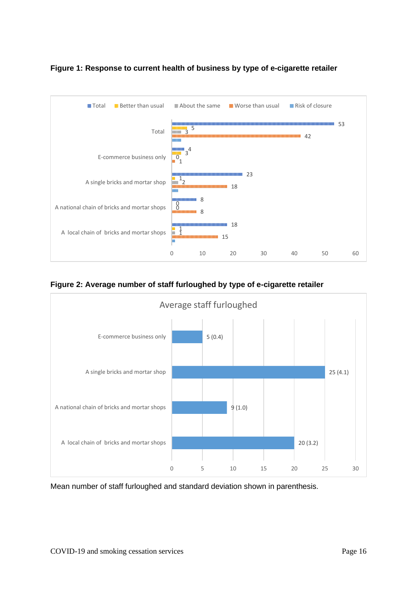

## **Figure 1: Response to current health of business by type of e-cigarette retailer**

**Figure 2: Average number of staff furloughed by type of e-cigarette retailer** 



Mean number of staff furloughed and standard deviation shown in parenthesis.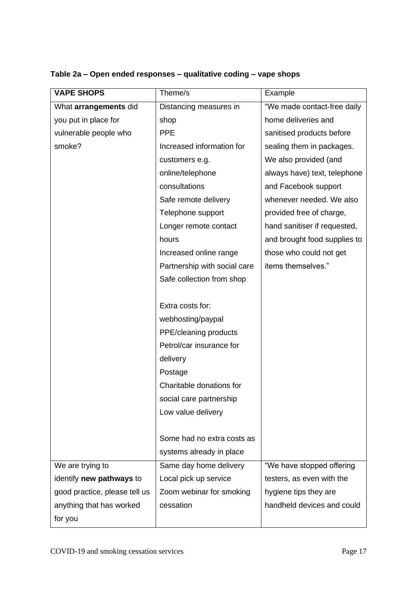| <b>VAPE SHOPS</b>             | Theme/s                      | Example                      |
|-------------------------------|------------------------------|------------------------------|
| What arrangements did         | Distancing measures in       | "We made contact-free daily  |
| you put in place for          | shop                         | home deliveries and          |
| vulnerable people who         | <b>PPE</b>                   | sanitised products before    |
| smoke?                        | Increased information for    | sealing them in packages.    |
|                               | customers e.g.               | We also provided (and        |
|                               | online/telephone             | always have) text, telephone |
|                               | consultations                | and Facebook support         |
|                               | Safe remote delivery         | whenever needed. We also     |
|                               | Telephone support            | provided free of charge,     |
|                               | Longer remote contact        | hand sanitiser if requested, |
|                               | hours                        | and brought food supplies to |
|                               | Increased online range       | those who could not get      |
|                               | Partnership with social care | items themselves."           |
|                               | Safe collection from shop    |                              |
|                               |                              |                              |
|                               | Extra costs for:             |                              |
|                               | webhosting/paypal            |                              |
|                               | PPE/cleaning products        |                              |
|                               | Petrol/car insurance for     |                              |
|                               | delivery                     |                              |
|                               | Postage                      |                              |
|                               | Charitable donations for     |                              |
|                               | social care partnership      |                              |
|                               | Low value delivery           |                              |
|                               |                              |                              |
|                               | Some had no extra costs as   |                              |
|                               | systems already in place     |                              |
| We are trying to              | Same day home delivery       | "We have stopped offering    |
| identify new pathways to      | Local pick up service        | testers, as even with the    |
| good practice, please tell us | Zoom webinar for smoking     | hygiene tips they are        |
| anything that has worked      | cessation                    | handheld devices and could   |
| for you                       |                              |                              |

## **Table 2a – Open ended responses – qualitative coding – vape shops**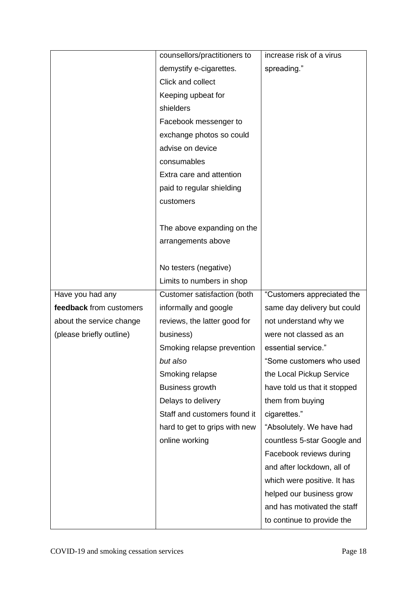|                          | counsellors/practitioners to  | increase risk of a virus     |
|--------------------------|-------------------------------|------------------------------|
|                          | demystify e-cigarettes.       | spreading."                  |
|                          | Click and collect             |                              |
|                          | Keeping upbeat for            |                              |
|                          | shielders                     |                              |
|                          | Facebook messenger to         |                              |
|                          | exchange photos so could      |                              |
|                          | advise on device              |                              |
|                          | consumables                   |                              |
|                          | Extra care and attention      |                              |
|                          | paid to regular shielding     |                              |
|                          | customers                     |                              |
|                          |                               |                              |
|                          | The above expanding on the    |                              |
|                          | arrangements above            |                              |
|                          |                               |                              |
|                          | No testers (negative)         |                              |
|                          | Limits to numbers in shop     |                              |
| Have you had any         | Customer satisfaction (both   | "Customers appreciated the   |
| feedback from customers  | informally and google         | same day delivery but could  |
| about the service change | reviews, the latter good for  | not understand why we        |
| (please briefly outline) | business)                     | were not classed as an       |
|                          | Smoking relapse prevention    | essential service."          |
|                          | but also                      | "Some customers who used     |
|                          | Smoking relapse               | the Local Pickup Service     |
|                          | <b>Business growth</b>        | have told us that it stopped |
|                          | Delays to delivery            | them from buying             |
|                          | Staff and customers found it  | cigarettes."                 |
|                          | hard to get to grips with new | "Absolutely. We have had     |
|                          | online working                | countless 5-star Google and  |
|                          |                               | Facebook reviews during      |
|                          |                               | and after lockdown, all of   |
|                          |                               | which were positive. It has  |
|                          |                               | helped our business grow     |
|                          |                               | and has motivated the staff  |
|                          |                               | to continue to provide the   |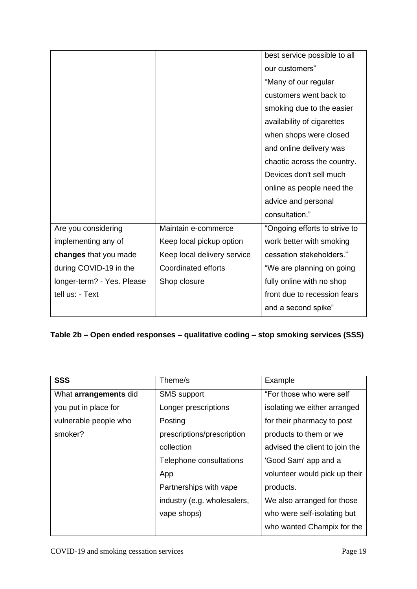|                            |                             | best service possible to all  |
|----------------------------|-----------------------------|-------------------------------|
|                            |                             | our customers"                |
|                            |                             | "Many of our regular          |
|                            |                             | customers went back to        |
|                            |                             | smoking due to the easier     |
|                            |                             | availability of cigarettes    |
|                            |                             | when shops were closed        |
|                            |                             | and online delivery was       |
|                            |                             | chaotic across the country.   |
|                            |                             | Devices don't sell much       |
|                            |                             | online as people need the     |
|                            |                             | advice and personal           |
|                            |                             | consultation."                |
| Are you considering        | Maintain e-commerce         | "Ongoing efforts to strive to |
| implementing any of        | Keep local pickup option    | work better with smoking      |
| changes that you made      | Keep local delivery service | cessation stakeholders."      |
| during COVID-19 in the     | <b>Coordinated efforts</b>  | "We are planning on going     |
| longer-term? - Yes. Please | Shop closure                | fully online with no shop     |
| tell us: - Text            |                             | front due to recession fears  |
|                            |                             | and a second spike"           |

# **Table 2b – Open ended responses – qualitative coding – stop smoking services (SSS)**

| <b>SSS</b>            | Theme/s                     | Example                        |
|-----------------------|-----------------------------|--------------------------------|
| What arrangements did | <b>SMS</b> support          | "For those who were self       |
| you put in place for  | Longer prescriptions        | isolating we either arranged   |
| vulnerable people who | Posting                     | for their pharmacy to post     |
| smoker?               | prescriptions/prescription  | products to them or we         |
|                       | collection                  | advised the client to join the |
|                       | Telephone consultations     | 'Good Sam' app and a           |
|                       | App                         | volunteer would pick up their  |
|                       | Partnerships with vape      | products.                      |
|                       | industry (e.g. wholesalers, | We also arranged for those     |
|                       | vape shops)                 | who were self-isolating but    |
|                       |                             | who wanted Champix for the     |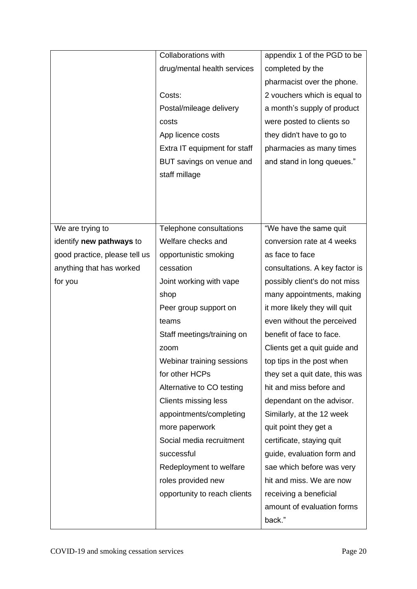|                               | Collaborations with          | appendix 1 of the PGD to be    |
|-------------------------------|------------------------------|--------------------------------|
|                               | drug/mental health services  | completed by the               |
|                               |                              | pharmacist over the phone.     |
|                               | Costs:                       | 2 vouchers which is equal to   |
|                               | Postal/mileage delivery      | a month's supply of product    |
|                               | costs                        | were posted to clients so      |
|                               | App licence costs            | they didn't have to go to      |
|                               | Extra IT equipment for staff | pharmacies as many times       |
|                               | BUT savings on venue and     | and stand in long queues."     |
|                               | staff millage                |                                |
|                               |                              |                                |
|                               |                              |                                |
|                               |                              |                                |
| We are trying to              | Telephone consultations      | "We have the same quit         |
| identify new pathways to      | Welfare checks and           | conversion rate at 4 weeks     |
| good practice, please tell us | opportunistic smoking        | as face to face                |
| anything that has worked      | cessation                    | consultations. A key factor is |
| for you                       | Joint working with vape      | possibly client's do not miss  |
|                               | shop                         | many appointments, making      |
|                               | Peer group support on        | it more likely they will quit  |
|                               | teams                        | even without the perceived     |
|                               | Staff meetings/training on   | benefit of face to face.       |
|                               | zoom                         | Clients get a quit guide and   |
|                               | Webinar training sessions    | top tips in the post when      |
|                               | for other HCPs               | they set a quit date, this was |
|                               | Alternative to CO testing    | hit and miss before and        |
|                               | <b>Clients missing less</b>  | dependant on the advisor.      |
|                               | appointments/completing      | Similarly, at the 12 week      |
|                               | more paperwork               | quit point they get a          |
|                               | Social media recruitment     | certificate, staying quit      |
|                               | successful                   | guide, evaluation form and     |
|                               | Redeployment to welfare      | sae which before was very      |
|                               | roles provided new           | hit and miss. We are now       |
|                               | opportunity to reach clients | receiving a beneficial         |
|                               |                              | amount of evaluation forms     |
|                               |                              | back."                         |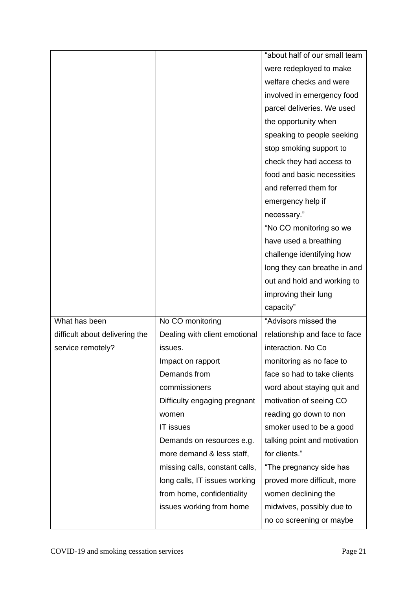|                                |                                | "about half of our small team |
|--------------------------------|--------------------------------|-------------------------------|
|                                |                                | were redeployed to make       |
|                                |                                | welfare checks and were       |
|                                |                                | involved in emergency food    |
|                                |                                | parcel deliveries. We used    |
|                                |                                | the opportunity when          |
|                                |                                | speaking to people seeking    |
|                                |                                | stop smoking support to       |
|                                |                                | check they had access to      |
|                                |                                | food and basic necessities    |
|                                |                                | and referred them for         |
|                                |                                | emergency help if             |
|                                |                                | necessary."                   |
|                                |                                | "No CO monitoring so we       |
|                                |                                | have used a breathing         |
|                                |                                | challenge identifying how     |
|                                |                                | long they can breathe in and  |
|                                |                                | out and hold and working to   |
|                                |                                | improving their lung          |
|                                |                                | capacity"                     |
| What has been                  | No CO monitoring               | "Advisors missed the          |
| difficult about delivering the | Dealing with client emotional  | relationship and face to face |
| service remotely?              | issues.                        | interaction. No Co            |
|                                | Impact on rapport              | monitoring as no face to      |
|                                | Demands from                   | face so had to take clients   |
|                                | commissioners                  | word about staying quit and   |
|                                | Difficulty engaging pregnant   | motivation of seeing CO       |
|                                | women                          | reading go down to non        |
|                                | <b>IT issues</b>               | smoker used to be a good      |
|                                | Demands on resources e.g.      | talking point and motivation  |
|                                | more demand & less staff,      | for clients."                 |
|                                | missing calls, constant calls, | "The pregnancy side has       |
|                                | long calls, IT issues working  | proved more difficult, more   |
|                                | from home, confidentiality     | women declining the           |
|                                |                                |                               |
|                                | issues working from home       | midwives, possibly due to     |